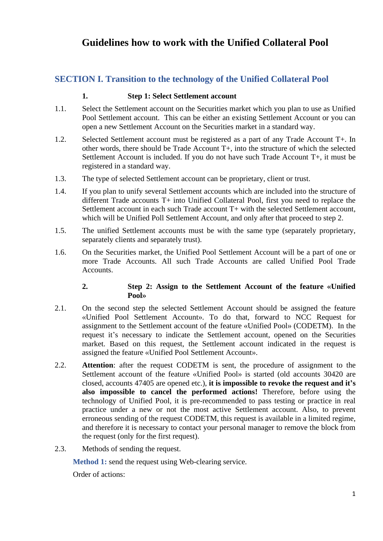# **Guidelines how to work with the Unified Collateral Pool**

# **SECTION I. Transition to the technology of the Unified Collateral Pool**

## **1. Step 1: Select Settlement account**

- 1.1. Select the Settlement account on the Securities market which you plan to use as Unified Pool Settlement account. This can be either an existing Settlement Account or you can open a new Settlement Account on the Securities market in a standard way.
- 1.2. Selected Settlement account must be registered as a part of any Trade Account T+. In other words, there should be Trade Account T+, into the structure of which the selected Settlement Account is included. If you do not have such Trade Account T+, it must be registered in a standard way.
- 1.3. The type of selected Settlement account can be proprietary, client or trust.
- 1.4. If you plan to unify several Settlement accounts which are included into the structure of different Trade accounts T+ into Unified Collateral Pool, first you need to replace the Settlement account in each such Trade account T+ with the selected Settlement account, which will be Unified Poll Settlement Account, and only after that proceed to step 2.
- 1.5. The unified Settlement accounts must be with the same type (separately proprietary, separately clients and separately trust).
- 1.6. On the Securities market, the Unified Pool Settlement Account will be a part of one or more Trade Accounts. All such Trade Accounts are called Unified Pool Trade Accounts.

#### **2. Step 2: Assign to the Settlement Account of the feature «Unified Pool»**

- 2.1. On the second step the selected Settlement Account should be assigned the feature «Unified Pool Settlement Account». To do that, forward to NCC Request for assignment to the Settlement account of the feature «Unified Pool» (CODETM). In the request it's necessary to indicate the Settlement account, opened on the Securities market. Based on this request, the Settlement account indicated in the request is assigned the feature «Unified Pool Settlement Account».
- 2.2. **Attention**: after the request CODETM is sent, the procedure of assignment to the Settlement account of the feature «Unified Pool» is started (old accounts 30420 are closed, accounts 47405 are opened etc.), **it is impossible to revoke the request and it's also impossible to cancel the performed actions!** Therefore, before using the technology of Unified Pool, it is pre-recommended to pass testing or practice in real practice under a new or not the most active Settlement account. Also, to prevent erroneous sending of the request CODETM, this request is available in a limited regime, and therefore it is necessary to contact your personal manager to remove the block from the request (only for the first request).
- 2.3. Methods of sending the request.

**Method 1:** send the request using Web-clearing service.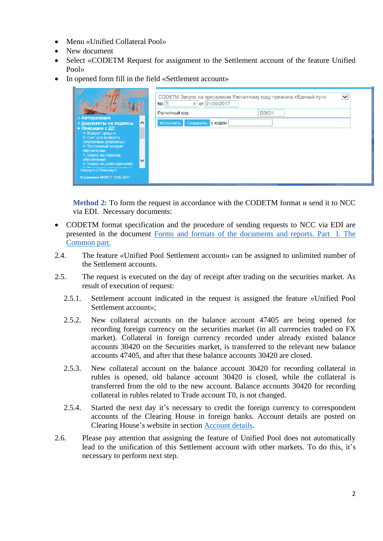- Menu «Unified Collateral Pool»
- New document
- Select «CODETM Request for assignment to the Settlement account of the feature Unified Pool»
- In opened form fill in the field «Settlement account»

|                                                                                                                                                                                                                                                                                                                            | СОDETM Запрос на присвоение Расчетному коду признака «Единый пул»<br>$No$ $7$<br>$\times$ ot 01/06/2017<br>Расчетный код | $\checkmark$<br>03631 |
|----------------------------------------------------------------------------------------------------------------------------------------------------------------------------------------------------------------------------------------------------------------------------------------------------------------------------|--------------------------------------------------------------------------------------------------------------------------|-----------------------|
| □ Авторизация<br>$\sim$<br>□ Документы на подпись<br>• Операции с ДС<br>□ Возврат средств<br>□ Счет для возврата<br>(платежные реквизиты)<br>□ Постоянный возврат<br>обеспечения<br>□ Запрос на перевод<br>обеспечения<br>$\checkmark$<br>• Запрос на депонирование<br>CBepHyTb   PassepHyTb<br>© компания ИНИСТ 1998-2017 | Сохранить<br>Исполнить<br>с кодом                                                                                        |                       |

**Method 2:** To form the request in accordance with the CODETM format и send it to NCC via EDI. Necessary documents:

- CODETM format specification and the procedure of sending requests to NCC via EDI are presented in the document Forms and formats of the [documents and reports. Part](https://www.nationalclearingcentre.ru/catalog/020416/121) I. The [Common part.](https://www.nationalclearingcentre.ru/catalog/020416/121)
- 2.4. The feature «Unified Pool Settlement account» can be assigned to unlimited number of the Settlement accounts.
- 2.5. The request is executed on the day of receipt after trading on the securities market. As result of execution of request:
	- 2.5.1. Settlement account indicated in the request is assigned the feature «Unified Pool Settlement account»;
	- 2.5.2. New collateral accounts on the balance account 47405 are being opened for recording foreign currency on the securities market (in all currencies traded on FX market). Collateral in foreign currency recorded under already existed balance accounts 30420 on the Securities market, is transferred to the relevant new balance accounts 47405, and after that these balance accounts 30420 are closed.
	- 2.5.3. New collateral account on the balance account 30420 for recording collateral in rubles is opened, old balance account 30420 is closed, while the collateral is transferred from the old to the new account. Balance accounts 30420 for recording collateral in rubles related to Trade account Т0, is not changed.
	- 2.5.4. Started the next day it's necessary to credit the foreign currency to correspondent accounts of the Clearing House in foreign banks. Account details are posted on Clearing House's website in section [Account](https://www.nationalclearingcentre.com/catalog/520808) details.
- 2.6. Please pay attention that assigning the feature of Unified Pool does not automatically lead to the unification of this Settlement account with other markets. To do this, it's necessary to perform next step.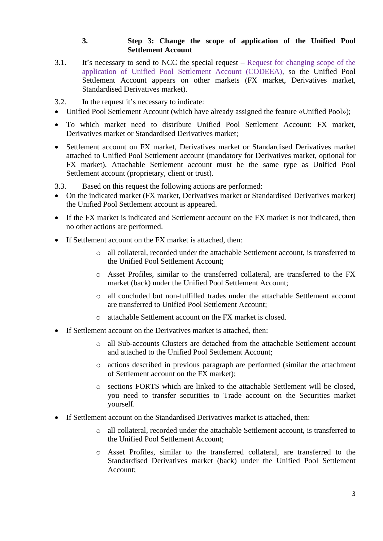## **3. Step 3: Change the scope of application of the Unified Pool Settlement Account**

3.1. It's necessary to send to NCC the special request – Request for changing scope of the application of Unified Pool Settlement Account (CODEEA), so the Unified Pool Settlement Account appears on other markets (FX market, Derivatives market, Standardised Derivatives market).

3.2. In the request it's necessary to indicate:

- Unified Pool Settlement Account (which have already assigned the feature «Unified Pool»);
- To which market need to distribute Unified Pool Settlement Account: FX market, Derivatives market or Standardised Derivatives market;
- Settlement account on FX market, Derivatives market or Standardised Derivatives market attached to Unified Pool Settlement account (mandatory for Derivatives market, optional for FX market). Attachable Settlement account must be the same type as Unified Pool Settlement account (proprietary, client or trust).

3.3. Based on this request the following actions are performed:

- On the indicated market (FX market, Derivatives market or Standardised Derivatives market) the Unified Pool Settlement account is appeared.
- If the FX market is indicated and Settlement account on the FX market is not indicated, then no other actions are performed.
- If Settlement account on the FX market is attached, then:
	- o all collateral, recorded under the attachable Settlement account, is transferred to the Unified Pool Settlement Account;
	- o Asset Profiles, similar to the transferred collateral, are transferred to the FX market (back) under the Unified Pool Settlement Account;
	- o all concluded but non-fulfilled trades under the attachable Settlement account are transferred to Unified Pool Settlement Account;
	- o attachable Settlement account on the FX market is closed.
- If Settlement account on the Derivatives market is attached, then:
	- o all Sub-accounts Clusters are detached from the attachable Settlement account and attached to the Unified Pool Settlement Account;
	- o actions described in previous paragraph are performed (similar the attachment of Settlement account on the FX market);
	- o sections FORTS which are linked to the attachable Settlement will be closed, you need to transfer securities to Trade account on the Securities market yourself.
- If Settlement account on the Standardised Derivatives market is attached, then:
	- o all collateral, recorded under the attachable Settlement account, is transferred to the Unified Pool Settlement Account;
	- o Asset Profiles, similar to the transferred collateral, are transferred to the Standardised Derivatives market (back) under the Unified Pool Settlement Account;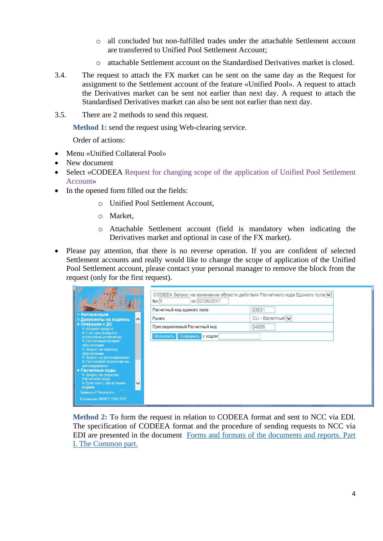- o all concluded but non-fulfilled trades under the attachable Settlement account are transferred to Unified Pool Settlement Account;
- o attachable Settlement account on the Standardised Derivatives market is closed.
- 3.4. The request to attach the FX market can be sent on the same day as the Request for assignment to the Settlement account of the feature «Unified Pool». A request to attach the Derivatives market can be sent not earlier than next day. A request to attach the Standardised Derivatives market can also be sent not earlier than next day.
- 3.5. There are 2 methods to send this request.

**Method 1:** send the request using Web-clearing service.

Order of actions:

- Menu «Unified Collateral Pool»
- New document
- Select «CODEEA Request for changing scope of the application of Unified Pool Settlement Account»
- In the opened form filled out the fields:
	- o Unified Pool Settlement Account,
	- o Market,
	- o Attachable Settlement account (field is mandatory when indicating the Derivatives market and optional in case of the FX market).
- Please pay attention, that there is no reverse operation. If you are confident of selected Settlement accounts and really would like to change the scope of application of the Unified Pool Settlement account, please contact your personal manager to remove the block from the request (only for the first request).

|                                                                                                                                                                                                                                                  | СОDЕЕА Запрос на изменение области действия Расчетного кода Единого пула $\vee$<br>от 02/06/2017<br>No <sub>9</sub> |                 |  |  |  |
|--------------------------------------------------------------------------------------------------------------------------------------------------------------------------------------------------------------------------------------------------|---------------------------------------------------------------------------------------------------------------------|-----------------|--|--|--|
|                                                                                                                                                                                                                                                  | Расчетный код единого пула                                                                                          | 03631           |  |  |  |
| □ Авторизация<br>$\sim$<br>□ Документы на подпись                                                                                                                                                                                                | Рынок                                                                                                               | CU - Валютный V |  |  |  |
| • Операции с ДС<br>□ Возврат средств                                                                                                                                                                                                             | Присоединяемый Расчетный код                                                                                        | 04856           |  |  |  |
| □ Счет для возврата<br>(платежные реквизиты)<br>□ Постоянный возврат                                                                                                                                                                             | Сохранить<br>Исполнить<br>с кодом                                                                                   |                 |  |  |  |
| обеспечения<br>□ Запрос на перевод<br>обеспечения<br>□ Запрос на депонирование<br>□ Постоянное поручение на<br>депонирование<br>• Расчетные коды<br>□ Запрос на открытие<br>Расчетного кода<br>$\checkmark$<br>□ Действия с расчетными<br>кодами |                                                                                                                     |                 |  |  |  |
| Свернуть   Развернуть<br>© компания ИНИСТ 1998-2017                                                                                                                                                                                              |                                                                                                                     |                 |  |  |  |

**Method 2:** To form the request in relation to CODEEA format and sent to NCC via EDI. The specification of CODEEA format and the procedure of sending requests to NCC via EDI are presented in the document Forms [and formats of the documents and reports.](https://www.nationalclearingcentre.ru/catalog/020416/121) Part [I. The Common part.](https://www.nationalclearingcentre.ru/catalog/020416/121)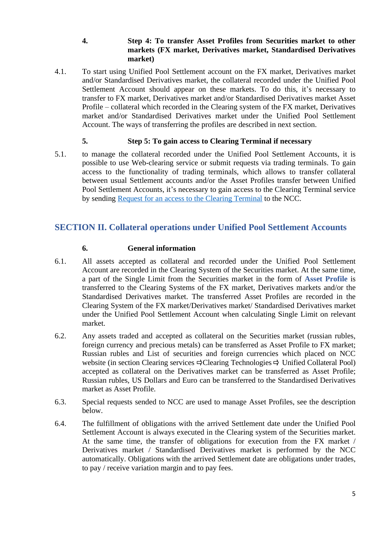#### **4. Step 4: To transfer Asset Profiles from Securities market to other markets (FX market, Derivatives market, Standardised Derivatives market)**

4.1. To start using Unified Pool Settlement account on the FX market, Derivatives market and/or Standardised Derivatives market, the collateral recorded under the Unified Pool Settlement Account should appear on these markets. To do this, it's necessary to transfer to FX market, Derivatives market and/or Standardised Derivatives market Asset Profile – collateral which recorded in the Clearing system of the FX market, Derivatives market and/or Standardised Derivatives market under the Unified Pool Settlement Account. The ways of transferring the profiles are described in next section.

## **5. Step 5: To gain access to Clearing Terminal if necessary**

5.1. to manage the collateral recorded under the Unified Pool Settlement Accounts, it is possible to use Web-clearing service or submit requests via trading terminals. To gain access to the functionality of trading terminals, which allows to transfer collateral between usual Settlement accounts and/or the Asset Profiles transfer between Unified Pool Settlement Accounts, it's necessary to gain access to the Clearing Terminal service by sending Request for [an access to the Clearing Terminal](https://www.nationalclearingcentre.com/catalog/520418) to the NCC.

## **SECTION II. Collateral operations under Unified Pool Settlement Accounts**

#### **6. General information**

- 6.1. All assets accepted as collateral and recorded under the Unified Pool Settlement Account are recorded in the Clearing System of the Securities market. At the same time, a part of the Single Limit from the Securities market in the form of **Asset Profile** is transferred to the Clearing Systems of the FX market, Derivatives markets and/or the Standardised Derivatives market. The transferred Asset Profiles are recorded in the Clearing System of the FX market/Derivatives market/ Standardised Derivatives market under the Unified Pool Settlement Account when calculating Single Limit on relevant market.
- 6.2. Any assets traded and accepted as collateral on the Securities market (russian rubles, foreign currency and precious metals) can be transferred as Asset Profile to FX market; Russian rubles and List of securities and foreign currencies which placed on NCC website (in section Clearing services  $\exists$  Clearing Technologies  $\exists$  Unified Collateral Pool) accepted as collateral on the Derivatives market can be transferred as Asset Profile; Russian rubles, US Dollars and Euro can be transferred to the Standardised Derivatives market as Asset Profile.
- 6.3. Special requests sended to NCC are used to manage Asset Profiles, see the description below.
- 6.4. The fulfillment of obligations with the arrived Settlement date under the Unified Pool Settlement Account is always executed in the Clearing system of the Securities market. At the same time, the transfer of obligations for execution from the FX market / Derivatives market / Standardised Derivatives market is performed by the NCC automatically. Obligations with the arrived Settlement date are obligations under trades, to pay / receive variation margin and to pay fees.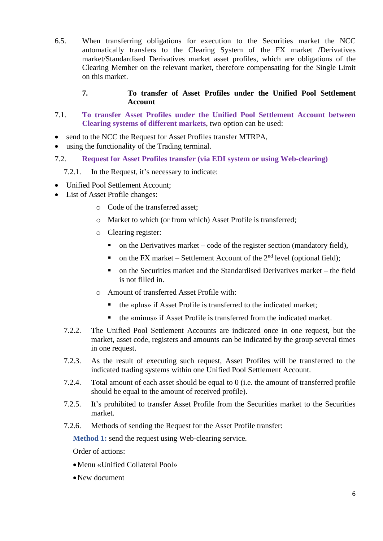6.5. When transferring obligations for execution to the Securities market the NCC automatically transfers to the Clearing System of the FX market /Derivatives market/Standardised Derivatives market asset profiles, which are obligations of the Clearing Member on the relevant market, therefore compensating for the Single Limit on this market.

## **7. To transfer of Asset Profiles under the Unified Pool Settlement Account**

- 7.1. **To transfer Asset Profiles under the Unified Pool Settlement Account between Clearing systems of different markets**, two option can be used:
- send to the NCC the Request for Asset Profiles transfer MTRPA,
- using the functionality of the Trading terminal.
- 7.2. **Request for Asset Profiles transfer (via EDI system or using Web-clearing)**

#### 7.2.1. In the Request, it's necessary to indicate:

- Unified Pool Settlement Account;
- List of Asset Profile changes:
	- o Code of the transferred asset;
	- o Market to which (or from which) Asset Profile is transferred;
	- o Clearing register:
		- $\blacksquare$  on the Derivatives market code of the register section (mandatory field),
		- on the FX market Settlement Account of the  $2<sup>nd</sup>$  level (optional field);
		- $\blacksquare$  on the Securities market and the Standardised Derivatives market the field is not filled in.
	- o Amount of transferred Asset Profile with:
		- the «plus» if Asset Profile is transferred to the indicated market;
		- the «minus» if Asset Profile is transferred from the indicated market.
	- 7.2.2. The Unified Pool Settlement Accounts are indicated once in one request, but the market, asset code, registers and amounts can be indicated by the group several times in one request.
	- 7.2.3. As the result of executing such request, Asset Profiles will be transferred to the indicated trading systems within one Unified Pool Settlement Account.
	- 7.2.4. Total amount of each asset should be equal to 0 (i.e. the amount of transferred profile should be equal to the amount of received profile).
	- 7.2.5. It's prohibited to transfer Asset Profile from the Securities market to the Securities market.
	- 7.2.6. Methods of sending the Request for the Asset Profile transfer:

**Method 1:** send the request using Web-clearing service.

- •Menu «Unified Collateral Pool»
- •New document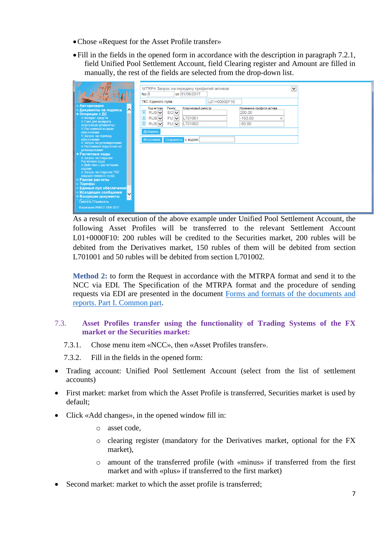- •Chose «Request for the Asset Profile transfer»
- •Fill in the fields in the opened form in accordance with the description in paragraph 7.2.1, field Unified Pool Settlement Account, field Clearing register and Amount are filled in manually, the rest of the fields are selected from the drop-down list.

|                                                                                                                                                                                                                                                                                      | $\checkmark$<br>MTRPA Запрос на передачу профилей активов<br>No 8<br>от 01/06/2017<br>ТКС Единого пула<br>L01+00000F10                                                                                                                                                                                               |
|--------------------------------------------------------------------------------------------------------------------------------------------------------------------------------------------------------------------------------------------------------------------------------------|----------------------------------------------------------------------------------------------------------------------------------------------------------------------------------------------------------------------------------------------------------------------------------------------------------------------|
| □ Авторизация<br>$\sim$<br>□ Документы на подпись<br>• Операции с ДС<br>□ Возврат средств<br>□ Счет для возврата<br>(платежные реквизиты)<br>□ Постоянный возврат<br>обеспечения<br>□ Запрос на перевод                                                                              | Клиринговый регистр<br>Код актива<br>Рынок<br>Изменение профиля актива<br>$\overline{\mathbf{x}}$<br>RUB <sub>V</sub><br>$EQ$ $\vee$<br>200.00<br>$\overline{\mathbf{x}}$<br>$RUB$ $\vee$<br>FU V<br>L701001<br>$-150.00$<br>×<br>$RUB$ $\vee$<br>$\overline{\mathbf{x}}$<br>FU V<br>L701002<br>$-50.00$<br>Добавить |
| обеспечения<br>□ Запрос на депонирование<br>□ Постоянное поручение на<br>депонирование<br><b>Расчетные коды</b><br>□ Запрос на открытие<br>Расчетного кода<br>□ Действия с расчетными<br>кодами<br>□ Запрос на открытие ТКС<br>(имущественного пула)<br>□ Ранние расчеты<br>□ Тарифы | Исполнить<br>Сохранить с кодом                                                                                                                                                                                                                                                                                       |
| □ Единый пул обеспечения <br>□ Исходящие сообщения<br>$\checkmark$<br><b>Входящие документы</b><br>Свернуть   Развернуть<br>© компания ИНИСТ 1998-2017                                                                                                                               |                                                                                                                                                                                                                                                                                                                      |

As a result of execution of the above example under Unified Pool Settlement Account, the following Asset Profiles will be transferred to the relevant Settlement Account L01+0000F10: 200 rubles will be credited to the Securities market, 200 rubles will be debited from the Derivatives market, 150 rubles of them will be debited from section L701001 and 50 rubles will be debited from section L701002.

**Method 2:** to form the Request in accordance with the MTRPA format and send it to the NCC via EDI. The Specification of the MTRPA format and the procedure of sending requests via EDI are presented in the document [Forms and formats of the documents and](https://www.nationalclearingcentre.com/catalog/520418)  [reports. Part](https://www.nationalclearingcentre.com/catalog/520418) I. Common part.

## 7.3. **Asset Profiles transfer using the functionality of Trading Systems of the FX market or the Securities market:**

7.3.1. Chose menu item «NCC», then «Asset Profiles transfer».

7.3.2. Fill in the fields in the opened form:

- Trading account: Unified Pool Settlement Account (select from the list of settlement accounts)
- First market: market from which the Asset Profile is transferred, Securities market is used by default;
- Click «Add changes», in the opened window fill in:
	- o asset code,
	- o clearing register (mandatory for the Derivatives market, optional for the FX market),
	- o amount of the transferred profile (with «minus» if transferred from the first market and with «plus» if transferred to the first market)
- Second market: market to which the asset profile is transferred;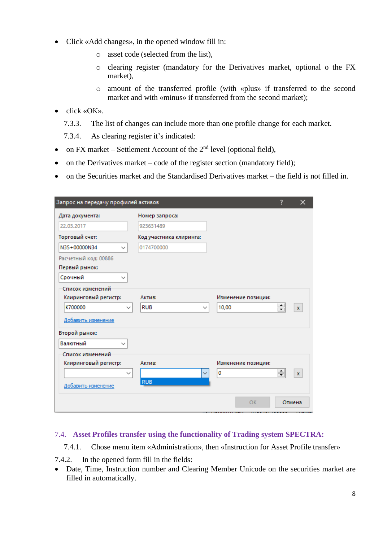- Click «Add changes», in the opened window fill in:
	- o asset code (selected from the list),
	- o clearing register (mandatory for the Derivatives market, optional o the FX market),
	- o amount of the transferred profile (with «plus» if transferred to the second market and with «minus» if transferred from the second market);
- click «OK».
	- 7.3.3. The list of changes can include more than one profile change for each market.

7.3.4. As clearing register it's indicated:

- on FX market Settlement Account of the  $2<sup>nd</sup>$  level (optional field),
- on the Derivatives market code of the register section (mandatory field);
- on the Securities market and the Standardised Derivatives market the field is not filled in.

| Запрос на передачу профилей активов      |                           |                    | 7                                        | ×            |
|------------------------------------------|---------------------------|--------------------|------------------------------------------|--------------|
| Дата документа:                          | Номер запроса:            |                    |                                          |              |
| 22.03.2017                               | 923631489                 |                    |                                          |              |
| Торговый счет:                           | Код участника клиринга:   |                    |                                          |              |
| N35+00000N34<br>$\checkmark$             | 0174700000                |                    |                                          |              |
| Расчетный код: 00886                     |                           |                    |                                          |              |
| Первый рынок:                            |                           |                    |                                          |              |
| Срочный<br>$\checkmark$                  |                           |                    |                                          |              |
| Список изменений<br>Клиринговый регистр: | Актив:                    | Изменение позиции: |                                          |              |
| K700000<br>$\check{ }$                   | <b>RUB</b><br>$\check{ }$ | 10,00              | $\leftarrow$<br>$\overline{\phantom{0}}$ | $\mathbf{x}$ |
| Добавить изменение                       |                           |                    |                                          |              |
| Второй рынок:                            |                           |                    |                                          |              |
| Валютный<br>$\checkmark$                 |                           |                    |                                          |              |
| Список изменений                         |                           |                    |                                          |              |
| Клиринговый регистр:                     | Актив:                    | Изменение позиции: |                                          |              |
| $\checkmark$                             | $\checkmark$              | 0                  | ≑                                        | $\mathbf{x}$ |
| Добавить изменение                       | <b>RUB</b>                |                    |                                          |              |
|                                          |                           | OK                 |                                          | Отмена       |

## 7.4. **Asset Profiles transfer using the functionality of Trading system SPECTRA:**

7.4.1. Chose menu item «Administration», then «Instruction for Asset Profile transfer»

7.4.2. In the opened form fill in the fields:

• Date, Time, Instruction number and Clearing Member Unicode on the securities market are filled in automatically.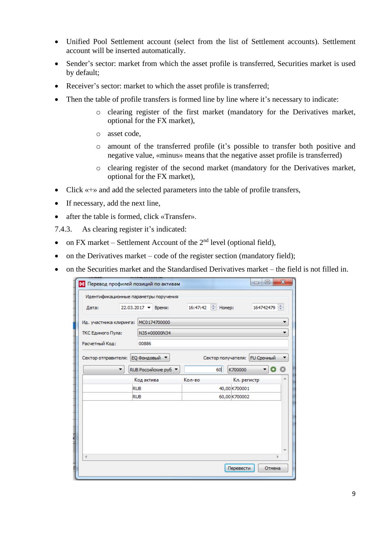- Unified Pool Settlement account (select from the list of Settlement accounts). Settlement account will be inserted automatically.
- Sender's sector: market from which the asset profile is transferred, Securities market is used by default;
- Receiver's sector: market to which the asset profile is transferred;
- Then the table of profile transfers is formed line by line where it's necessary to indicate:
	- o clearing register of the first market (mandatory for the Derivatives market, optional for the FX market),
	- o asset code,
	- o amount of the transferred profile (it's possible to transfer both positive and negative value, «minus» means that the negative asset profile is transferred)
	- o clearing register of the second market (mandatory for the Derivatives market, optional for the FX market),
- Click «+» and add the selected parameters into the table of profile transfers,
- If necessary, add the next line,
- after the table is formed, click «Transfer».
- 7.4.3. As clearing register it's indicated:
- on FX market Settlement Account of the  $2<sup>nd</sup>$  level (optional field),
- on the Derivatives market code of the register section (mandatory field);
- on the Securities market and the Standardised Derivatives market the field is not filled in.

| М Перевод профилей позиций по активам |                                                                  |        | $\mathbf x$<br>▣<br>$\equiv$  |  |  |  |  |
|---------------------------------------|------------------------------------------------------------------|--------|-------------------------------|--|--|--|--|
| Идентификационные параметры поручения |                                                                  |        |                               |  |  |  |  |
| Дата:                                 | 16:47:42 <del>↓</del> Номер:<br>164742479<br>22.03.2017 • Время: |        |                               |  |  |  |  |
| Ид. участника клиринга: MC0174700000  |                                                                  |        |                               |  |  |  |  |
| ТКС Единого Пула:                     | N35+00000N34                                                     |        |                               |  |  |  |  |
| Расчетный Код:                        | 00886                                                            |        |                               |  |  |  |  |
| Сектор отправителя:                   | ЕО Фондовый                                                      |        | Сектор получателя: FU Срочный |  |  |  |  |
|                                       | RUB Российские руб. ▼                                            | 60     | K700000                       |  |  |  |  |
|                                       | Код актива                                                       | Кол-во | Кл. регистр                   |  |  |  |  |
|                                       | <b>RUB</b>                                                       |        | 40,00 K700001                 |  |  |  |  |
| <b>RUB</b>                            |                                                                  |        | 60,00 K700002                 |  |  |  |  |
|                                       |                                                                  |        |                               |  |  |  |  |
| ∢                                     |                                                                  |        |                               |  |  |  |  |
| Π                                     |                                                                  |        | Перевести<br>Отмена           |  |  |  |  |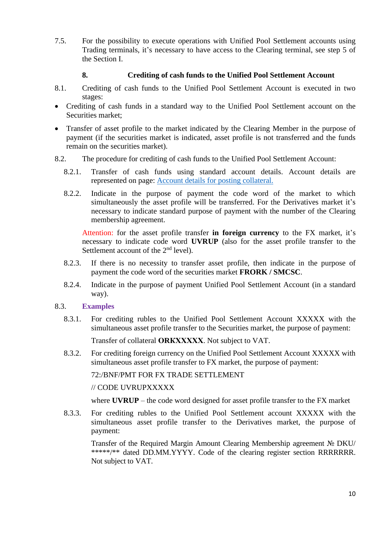7.5. For the possibility to execute operations with Unified Pool Settlement accounts using Trading terminals, it's necessary to have access to the Clearing terminal, see step 5 of the Section I.

## **8. Crediting of cash funds to the Unified Pool Settlement Account**

- 8.1. Crediting of cash funds to the Unified Pool Settlement Account is executed in two stages:
- Crediting of cash funds in a standard way to the Unified Pool Settlement account on the Securities market;
- Transfer of asset profile to the market indicated by the Clearing Member in the purpose of payment (if the securities market is indicated, asset profile is not transferred and the funds remain on the securities market).
- 8.2. The procedure for crediting of cash funds to the Unified Pool Settlement Account:
	- 8.2.1. Transfer of cash funds using standard account details. Account details are represented on page: [Account details for posting collateral.](https://www.nationalclearingcentre.com/catalog/520808)
	- 8.2.2. Indicate in the purpose of payment the code word of the market to which simultaneously the asset profile will be transferred. For the Derivatives market it's necessary to indicate standard purpose of payment with the number of the Clearing membership agreement.

Attention: for the asset profile transfer **in foreign currency** to the FX market, it's necessary to indicate code word **UVRUP** (also for the asset profile transfer to the Settlement account of the 2<sup>nd</sup> level).

- 8.2.3. If there is no necessity to transfer asset profile, then indicate in the purpose of payment the code word of the securities market **FRORK / SMCSC**.
- 8.2.4. Indicate in the purpose of payment Unified Pool Settlement Account (in a standard way).

#### 8.3. **Examples**

8.3.1. For crediting rubles to the Unified Pool Settlement Account XXXXX with the simultaneous asset profile transfer to the Securities market, the purpose of payment:

Transfer of collateral **ОRКХХХХХ**. Not subject to VAT.

8.3.2. For crediting foreign currency on the Unified Pool Settlement Account XXXXX with simultaneous asset profile transfer to FX market, the purpose of payment:

72:/BNF/PMT FOR FX TRADE SETTLEMENT

// CODE UVRUPXXXXX

where **UVRUP** – the code word designed for asset profile transfer to the FX market

8.3.3. For crediting rubles to the Unified Pool Settlement account XXXXX with the simultaneous asset profile transfer to the Derivatives market, the purpose of payment:

Transfer of the Required Margin Amount Clearing Membership agreement № DKU/ \*\*\*\*\*/\*\* dated DD.ММ.YYYY. Code of the clearing register section RRRRRRR. Not subject to VAT.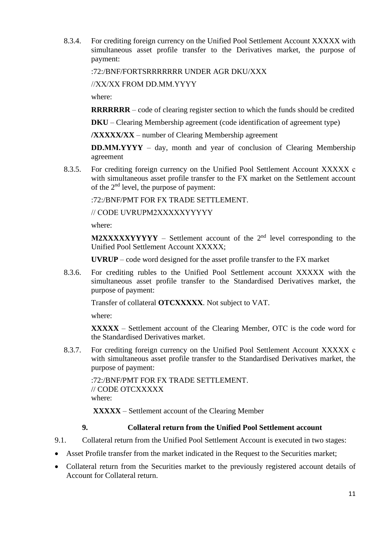8.3.4. For crediting foreign currency on the Unified Pool Settlement Account XXXXX with simultaneous asset profile transfer to the Derivatives market, the purpose of payment:

:72:/BNF/FORTSRRRRRRR UNDER AGR DKU/XXX

//XX/XX FROM DD.ММ.YYYY

where:

**RRRRRRR** – code of clearing register section to which the funds should be credited

**DKU** – Clearing Membership agreement (code identification of agreement type)

**/XXXXX/XX** – number of Clearing Membership agreement

**DD.ММ.YYYY** – day, month and year of conclusion of Clearing Membership agreement

8.3.5. For crediting foreign currency on the Unified Pool Settlement Account XXXXX с with simultaneous asset profile transfer to the FX market on the Settlement account of the 2nd level, the purpose of payment:

:72:/BNF/PMT FOR FX TRADE SETTLEMENT.

// CODE UVRUPМ2XXXXXYYYYY

where:

**M2XXXXYYYYY** – Settlement account of the  $2<sup>nd</sup>$  level corresponding to the Unified Pool Settlement Account XXXXX;

**UVRUP** – code word designed for the asset profile transfer to the FX market

8.3.6. For crediting rubles to the Unified Pool Settlement account XXXXX with the simultaneous asset profile transfer to the Standardised Derivatives market, the purpose of payment:

Transfer of collateral **OTCХХХХХ**. Not subject to VAT.

where:

**XXXXX** – Settlement account of the Clearing Member, ОТС is the code word for the Standardised Derivatives market.

8.3.7. For crediting foreign currency on the Unified Pool Settlement Account XXXXX с with simultaneous asset profile transfer to the Standardised Derivatives market, the purpose of payment:

:72:/BNF/PMT FOR FX TRADE SETTLEMENT. // CODE OTCXXXXX where:

**XXXXX** – Settlement account of the Clearing Member

#### **9. Collateral return from the Unified Pool Settlement account**

- 9.1. Collateral return from the Unified Pool Settlement Account is executed in two stages:
- Asset Profile transfer from the market indicated in the Request to the Securities market;
- Collateral return from the Securities market to the previously registered account details of Account for Collateral return.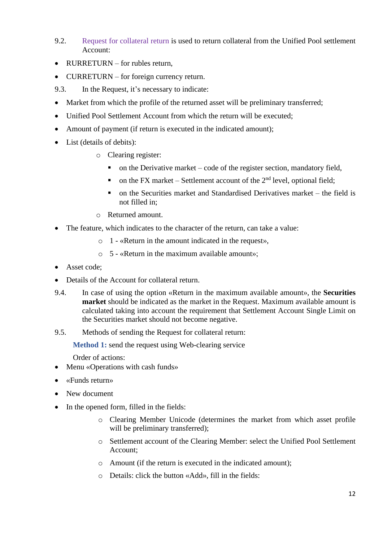- 9.2. Request for collateral return is used to return collateral from the Unified Pool settlement Account:
- $RURRETLRN for *rules return*$ .
- CURRETURN for foreign currency return.
- 9.3. In the Request, it's necessary to indicate:
- Market from which the profile of the returned asset will be preliminary transferred;
- Unified Pool Settlement Account from which the return will be executed;
- Amount of payment (if return is executed in the indicated amount);
- List (details of debits):
	- o Clearing register:
		- $\blacksquare$  on the Derivative market code of the register section, mandatory field,
		- on the FX market Settlement account of the  $2<sup>nd</sup>$  level, optional field;
		- on the Securities market and Standardised Derivatives market the field is not filled in;
	- o Returned amount.
- The feature, which indicates to the character of the return, can take a value:
	- o 1 «Return in the amount indicated in the request»,
	- o 5 «Return in the maximum available amount»;
- Asset code:
- Details of the Account for collateral return.
- 9.4. In case of using the option «Return in the maximum available amount», the **Securities market** should be indicated as the market in the Request. Maximum available amount is calculated taking into account the requirement that Settlement Account Single Limit on the Securities market should not become negative.
- 9.5. Methods of sending the Request for collateral return:

**Method 1:** send the request using Web-clearing service

- Menu «Operations with cash funds»
- «Funds return»
- New document
- In the opened form, filled in the fields:
	- o Clearing Member Unicode (determines the market from which asset profile will be preliminary transferred);
	- o Settlement account of the Clearing Member: select the Unified Pool Settlement Account;
	- o Amount (if the return is executed in the indicated amount);
	- o Details: click the button «Add», fill in the fields: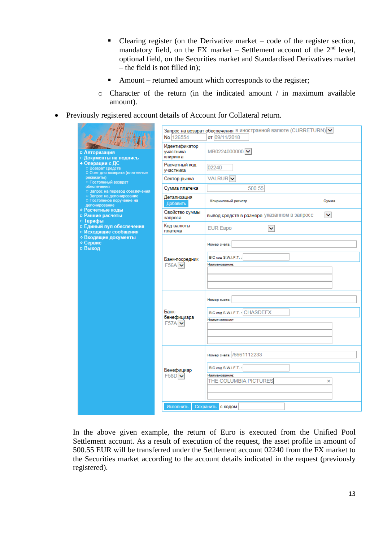- **•** Clearing register (on the Derivative market code of the register section, mandatory field, on the FX market – Settlement account of the  $2<sup>nd</sup>$  level, optional field, on the Securities market and Standardised Derivatives market – the field is not filled in);
- Amount returned amount which corresponds to the register;
- o Character of the return (in the indicated amount / in maximum available amount).
- Previously registered account details of Account for Collateral return.

|                                                                         | No 126554                              | Запрос на возврат обеспечения в иностранной валюте (CURRETURN) V<br>от 09/11/2018              |
|-------------------------------------------------------------------------|----------------------------------------|------------------------------------------------------------------------------------------------|
| □ Авторизация<br>□ Документы на подпись                                 | Идентификатор<br>участника<br>клиринга | MB0224000000                                                                                   |
| • Операции с ДС<br>□ Возврат средств<br>□ Счет для возврата (платежные  | Расчетный код<br>участника             | 02240                                                                                          |
| реквизиты)<br>□ Постоянный возврат                                      | Сектор рынка                           | VALRUR <sup>V</sup>                                                                            |
| обеспечения<br>□ Запрос на перевод обеспечения                          | Сумма платежа                          | 500.55                                                                                         |
| □ Запрос на депонирование<br>□ Постоянное поручение на<br>депонирование | Детализация<br>Добавить                | Клиринговый регистр<br>Сумма                                                                   |
| ⇒ Расчетные коды<br>□ Ранние расчеты<br>□ Тарифы                        | Свойство суммы<br>запроса              | $\checkmark$<br>вывод средств в размере указанном в запросе                                    |
| <b>• Единый пул обеспечения</b><br>□ Исходящие сообщения                | Код валюты<br>платежа                  | <b>EUR EBPO</b><br>v                                                                           |
| ⇒ Входящие документы<br>⇒ Сервис<br>□ Выход                             |                                        | Номер счета:                                                                                   |
|                                                                         | Банк-посредник<br>$F56A$ $\vee$        | BIC код S.W.I.F.T.:<br>Наименование:                                                           |
|                                                                         |                                        |                                                                                                |
|                                                                         | Банк-<br>бенефициара<br>$F57A$ $\vee$  | Номер счета:<br>BIC KOA S.W.I.F.T.: CHASDEFX<br>Наименование:                                  |
|                                                                         | Бенефициар<br>$F58D$ $\vee$            | Номер счёта: /6661112233<br>BIC код S.W.I.F.T.:<br>Наименование:<br>THE COLUMBIA PICTURES<br>× |
|                                                                         | Исполнить                              | Сохранить с кодом                                                                              |

In the above given example, the return of Euro is executed from the Unified Pool Settlement account. As a result of execution of the request, the asset profile in amount of 500.55 EUR will be transferred under the Settlement account 02240 from the FX market to the Securities market according to the account details indicated in the request (previously registered).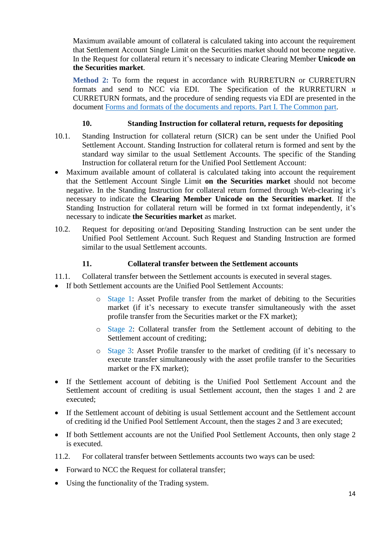Maximum available amount of collateral is calculated taking into account the requirement that Settlement Account Single Limit on the Securities market should not become negative. In the Request for collateral return it's necessary to indicate Clearing Member **Unicode on the Securities market**.

**Method 2:** To form the request in accordance with RURRETURN or CURRETURN formats and send to NCC via EDI. The Specification of the RURRETURN и CURRETURN formats, and the procedure of sending requests via EDI are presented in the document Forms and formats of the [documents and reports. Part](https://www.nationalclearingcentre.com/catalog/520418) I. The Common part.

## **10. Standing Instruction for collateral return, requests for depositing**

- 10.1. Standing Instruction for collateral return (SICR) can be sent under the Unified Pool Settlement Account. Standing Instruction for collateral return is formed and sent by the standard way similar to the usual Settlement Accounts. The specific of the Standing Instruction for collateral return for the Unified Pool Settlement Account:
- Maximum available amount of collateral is calculated taking into account the requirement that the Settlement Account Single Limit **on the Securities market** should not become negative. In the Standing Instruction for collateral return formed through Web-clearing it's necessary to indicate the **Clearing Member Unicode on the Securities market**. If the Standing Instruction for collateral return will be formed in txt format independently, it's necessary to indicate **the Securities market** as market.
- 10.2. Request for depositing or/and Depositing Standing Instruction can be sent under the Unified Pool Settlement Account. Such Request and Standing Instruction are formed similar to the usual Settlement accounts.

#### **11. Collateral transfer between the Settlement accounts**

- 11.1. Collateral transfer between the Settlement accounts is executed in several stages.
- If both Settlement accounts are the Unified Pool Settlement Accounts:
	- o Stage 1: Asset Profile transfer from the market of debiting to the Securities market (if it's necessary to execute transfer simultaneously with the asset profile transfer from the Securities market or the FX market);
	- o Stage 2: Collateral transfer from the Settlement account of debiting to the Settlement account of crediting;
	- o Stage 3: Asset Profile transfer to the market of crediting (if it's necessary to execute transfer simultaneously with the asset profile transfer to the Securities market or the FX market);
- If the Settlement account of debiting is the Unified Pool Settlement Account and the Settlement account of crediting is usual Settlement account, then the stages 1 and 2 are executed;
- If the Settlement account of debiting is usual Settlement account and the Settlement account of crediting id the Unified Pool Settlement Account, then the stages 2 and 3 are executed;
- If both Settlement accounts are not the Unified Pool Settlement Accounts, then only stage 2 is executed.
- 11.2. For collateral transfer between Settlements accounts two ways can be used:
- Forward to NCC the Request for collateral transfer:
- Using the functionality of the Trading system.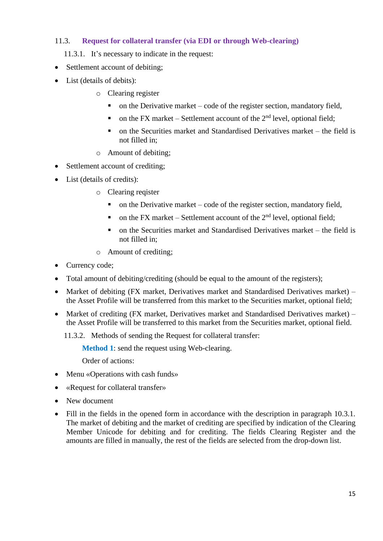## 11.3. **Request for collateral transfer (via EDI or through Web-clearing)**

- 11.3.1. It's necessary to indicate in the request:
- Settlement account of debiting;
- List (details of debits):
	- o Clearing register
		- $\blacksquare$  on the Derivative market code of the register section, mandatory field,
		- on the FX market Settlement account of the  $2<sup>nd</sup>$  level, optional field;
		- on the Securities market and Standardised Derivatives market the field is not filled in;
	- o Amount of debiting;
- Settlement account of crediting;
- List (details of credits):
	- o Clearing reqister
		- $\blacksquare$  on the Derivative market code of the register section, mandatory field,
		- on the FX market Settlement account of the  $2<sup>nd</sup>$  level, optional field;
		- $\blacksquare$  on the Securities market and Standardised Derivatives market the field is not filled in;
	- o Amount of crediting;
- Currency code;
- Total amount of debiting/crediting (should be equal to the amount of the registers):
- Market of debiting (FX market, Derivatives market and Standardised Derivatives market) the Asset Profile will be transferred from this market to the Securities market, optional field;
- Market of crediting (FX market, Derivatives market and Standardised Derivatives market) the Asset Profile will be transferred to this market from the Securities market, optional field.
	- 11.3.2. Methods of sending the Request for collateral transfer:

**Method 1**: send the request using Web-clearing.

- Menu «Operations with cash funds»
- «Request for collateral transfer»
- New document
- Fill in the fields in the opened form in accordance with the description in paragraph 10.3.1. The market of debiting and the market of crediting are specified by indication of the Clearing Member Unicode for debiting and for crediting. The fields Clearing Register and the amounts are filled in manually, the rest of the fields are selected from the drop-down list.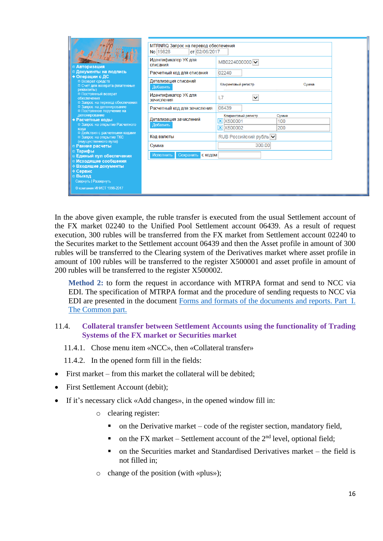|                                                                                                                                                                                                                | No 19828                           | MTRNRQ Запрос на перевод обеспечения<br>от 02/06/2017                              |       |  |  |  |
|----------------------------------------------------------------------------------------------------------------------------------------------------------------------------------------------------------------|------------------------------------|------------------------------------------------------------------------------------|-------|--|--|--|
| □ Авторизация                                                                                                                                                                                                  | Идентификатор УК для<br>списания   | MB0224000000 V                                                                     |       |  |  |  |
| □ Документы на подпись<br>+ Операции с ДС                                                                                                                                                                      | Расчетный код для списания         | 02240                                                                              |       |  |  |  |
| □ Возврат средств<br>□ Счет для возврата (платежные<br>реквизиты)                                                                                                                                              | Детализация списаний<br>Добавить   | Клиринговый регистр                                                                | Сумма |  |  |  |
| □ Постоянный возврат<br>обеспечения<br>□ Запрос на перевод обеспечения<br>□ Запрос на депонирование<br>□ Постоянное поручение на<br>депонирование<br>Расчетные коды<br>□ Запрос на открытие Расчетного<br>кола | Идентификатор УК для<br>зачисления | $\checkmark$<br>L7                                                                 |       |  |  |  |
|                                                                                                                                                                                                                | Расчетный код для зачисления       | 06439                                                                              |       |  |  |  |
|                                                                                                                                                                                                                | Детализация зачислений<br>Добавить | Клиринговый регистр<br>Сумма<br><b>X</b> X500001<br>100<br>200<br><b>X</b> X500002 |       |  |  |  |
| п Действия с расчетными кодами<br>□ Запрос на открытие ТКС                                                                                                                                                     | Код валюты                         | RUB Российский рубль V                                                             |       |  |  |  |
| (имущественного пула)<br>□ Ранние расчеты                                                                                                                                                                      | Сумма                              | 300.00                                                                             |       |  |  |  |
| □ Тарифы<br>□ Единый пул обеспечения                                                                                                                                                                           | Сохранить<br>Исполнить<br>с кодом  |                                                                                    |       |  |  |  |
| □ Исходящие сообщения<br><b><i><b>↑ Входящие документы</b></i></b><br>∲ Сервис<br>□ Выход<br>Свернуть   Развернуть                                                                                             |                                    |                                                                                    |       |  |  |  |
| © компания ИНИСТ 1998-2017                                                                                                                                                                                     |                                    |                                                                                    |       |  |  |  |

In the above given example, the ruble transfer is executed from the usual Settlement account of the FX market 02240 to the Unified Pool Settlement account 06439. As a result of request execution, 300 rubles will be transferred from the FX market from Settlement account 02240 to the Securites market to the Settlement account 06439 and then the Asset profile in amount of 300 rubles will be transferred to the Clearing system of the Derivatives market where asset profile in amount of 100 rubles will be transferred to the register X500001 and asset profile in amount of 200 rubles will be transferred to the register X500002.

**Method 2:** to form the request in accordance with MTRPA format and send to NCC via EDI. The specification of MTRPA format and the procedure of sending requests to NCC via EDI are presented in the document Forms and formats of the [documents and reports. Part](https://www.nationalclearingcentre.ru/catalog/020416/121) I. The [Common](https://www.nationalclearingcentre.ru/catalog/020416/121) part.

#### 11.4. **Collateral transfer between Settlement Accounts using the functionality of Trading Systems of the FX market or Securities market**

11.4.1. Chose menu item «NCC», then «Collateral transfer»

11.4.2. In the opened form fill in the fields:

- First market from this market the collateral will be debited;
- First Settlement Account (debit);
- If it's necessary click «Add changes», in the opened window fill in:
	- o clearing register:
		- $\blacksquare$  on the Derivative market code of the register section, mandatory field,
		- on the FX market Settlement account of the  $2<sup>nd</sup>$  level, optional field;
		- on the Securities market and Standardised Derivatives market the field is not filled in;
	- o change of the position (with «plus»);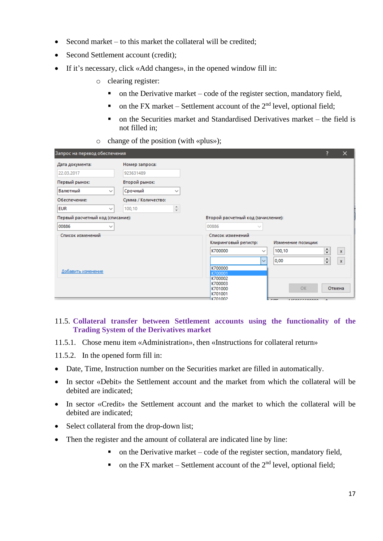- Second market to this market the collateral will be credited;
- Second Settlement account (credit):
- If it's necessary, click «Add changes», in the opened window fill in:
	- o clearing register:
		- $\blacksquare$  on the Derivative market code of the register section, mandatory field,
		- on the FX market Settlement account of the  $2<sup>nd</sup>$  level, optional field;
		- $\blacksquare$  on the Securities market and Standardised Derivatives market the field is not filled in;
	- o change of the position (with «plus»);

| Запрос на перевод обеспечения    |                         |                  |                                    |              |                     | ?      | $\times$     |
|----------------------------------|-------------------------|------------------|------------------------------------|--------------|---------------------|--------|--------------|
| Дата документа:                  | Номер запроса:          |                  |                                    |              |                     |        |              |
| 22.03.2017                       | 923631489               |                  |                                    |              |                     |        |              |
| Первый рынок:                    | Второй рынок:           |                  |                                    |              |                     |        |              |
| Валютный                         | Срочный<br>$\checkmark$ | $\checkmark$     |                                    |              |                     |        |              |
| Обеспечение:                     | Сумма / Количество:     |                  |                                    |              |                     |        |              |
| <b>EUR</b>                       | 100,10<br>$\checkmark$  | $\frac{+}{\tau}$ |                                    |              |                     |        |              |
| Первый расчетный код (списание): |                         |                  | Второй расчетный код (зачисление): |              |                     |        |              |
| 00886                            | $\checkmark$            |                  | 00886                              | $\checkmark$ |                     |        |              |
| Список изменений                 |                         |                  | Список изменений                   |              |                     |        |              |
|                                  |                         |                  | Клиринговый регистр:               |              | Изменение позиции:  |        |              |
|                                  |                         |                  | K700000                            | $\checkmark$ | 100,10              | ÷      | $\mathbf{x}$ |
|                                  |                         |                  |                                    | $\checkmark$ | 0,00                | $\div$ | $\mathbf{x}$ |
|                                  |                         |                  | K700000                            |              |                     |        |              |
| Добавить изменение               |                         |                  | K700001                            |              |                     |        |              |
|                                  |                         |                  | K700002                            |              |                     |        |              |
|                                  |                         |                  | K700003<br>K701000                 |              | OK                  |        | Отмена       |
|                                  |                         |                  | K701001                            |              |                     |        |              |
|                                  |                         |                  | K701002                            |              | <b>************</b> |        |              |

#### 11.5. **Collateral transfer between Settlement accounts using the functionality of the Trading System of the Derivatives market**

- 11.5.1. Chose menu item «Administration», then «Instructions for collateral return»
- 11.5.2. In the opened form fill in:
- Date, Time, Instruction number on the Securities market are filled in automatically.
- In sector «Debit» the Settlement account and the market from which the collateral will be debited are indicated;
- In sector «Credit» the Settlement account and the market to which the collateral will be debited are indicated;
- Select collateral from the drop-down list;
- Then the register and the amount of collateral are indicated line by line:
	- $\blacksquare$  on the Derivative market code of the register section, mandatory field,
	- on the FX market Settlement account of the  $2<sup>nd</sup>$  level, optional field;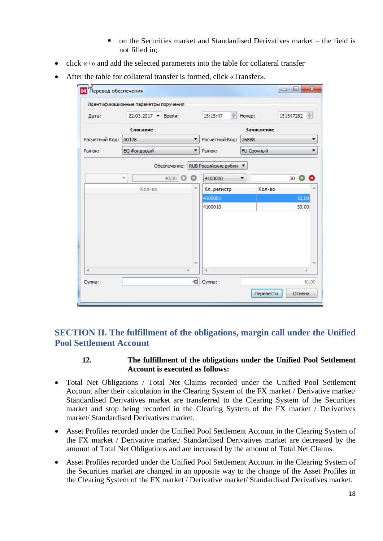- on the Securities market and Standardised Derivatives market the field is not filled in;
- click «+» and add the selected parameters into the table for collateral transfer
- After the table for collateral transfer is formed, click «Transfer».

| М Перевод обеспечения |                                       |                          |                      |                      | $\mathbf{x}$<br>回<br>$\qquad \qquad \Box$ |
|-----------------------|---------------------------------------|--------------------------|----------------------|----------------------|-------------------------------------------|
|                       | Идентификационные параметры поручения |                          |                      |                      |                                           |
| Дата:                 | 22.03.2017 - Время:                   |                          | 15:15:47             | $\Rightarrow$ Homep: | ÷<br>151547282                            |
|                       | Списание                              |                          |                      | Зачисление           |                                           |
| Расчетный Код:        | 00178                                 | ▼                        | Расчетный Код:       | 26888                |                                           |
| Рынок:                | ЕО Фондовый                           | ▼                        | Рынок:               | FU Срочный           | ▼                                         |
|                       |                                       | Обеспечение:             | RUB Российские рубли |                      |                                           |
|                       | $\overline{\phantom{a}}$              | 40,00 <b>O O</b>         | 4100000              | ▼                    | $30$ $\bullet$                            |
|                       | Кол-во                                | A.                       | Кл. регистр          | Кол-во               |                                           |
|                       |                                       |                          | 4100001              |                      | 10,00                                     |
|                       |                                       |                          | 4100010              |                      | 30,00                                     |
|                       |                                       |                          |                      |                      |                                           |
|                       |                                       |                          |                      |                      |                                           |
|                       |                                       |                          |                      |                      |                                           |
|                       |                                       |                          |                      |                      |                                           |
|                       |                                       |                          |                      |                      |                                           |
| 4                     |                                       | $\overline{\phantom{a}}$ | ∢                    |                      | b.                                        |
| Сумма:                |                                       |                          | 40 Cymma:            |                      | 40,00                                     |
|                       |                                       |                          |                      |                      |                                           |
|                       |                                       |                          |                      | Перевести            | Отмена                                    |

## **SECTION II. The fulfillment of the obligations, margin call under the Unified Pool Settlement Account**

#### **12. The fulfillment of the obligations under the Unified Pool Settlement Account is executed as follows:**

- Total Net Obligations / Total Net Claims recorded under the Unified Pool Settlement Account after their calculation in the Clearing System of the FX market / Derivative market/ Standardised Derivatives market are transferred to the Clearing System of the Securities market and stop being recorded in the Clearing System of the FX market / Derivatives market/ Standardised Derivatives market.
- Asset Profiles recorded under the Unified Pool Settlement Account in the Clearing System of the FX market / Derivative market/ Standardised Derivatives market are decreased by the amount of Total Net Obligations and are increased by the amount of Total Net Claims.
- Asset Profiles recorded under the Unified Pool Settlement Account in the Clearing System of the Securities market are changed in an opposite way to the change of the Asset Profiles in the Clearing System of the FX market / Derivative market/ Standardised Derivatives market.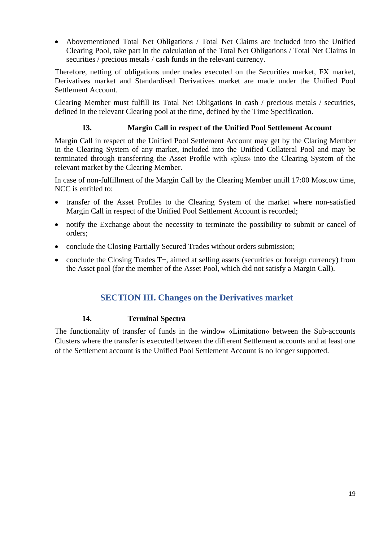• Abovementioned Total Net Obligations / Total Net Claims are included into the Unified Clearing Pool, take part in the calculation of the Total Net Obligations / Total Net Claims in securities / precious metals / cash funds in the relevant currency.

Therefore, netting of obligations under trades executed on the Securities market, FX market, Derivatives market and Standardised Derivatives market are made under the Unified Pool Settlement Account.

Clearing Member must fulfill its Total Net Obligations in cash / precious metals / securities, defined in the relevant Clearing pool at the time, defined by the Time Specification.

## **13. Margin Call in respect of the Unified Pool Settlement Account**

Margin Call in respect of the Unified Pool Settlement Account may get by the Claring Member in the Clearing System of any market, included into the Unified Collateral Pool and may be terminated through transferring the Asset Profile with «plus» into the Clearing System of the relevant market by the Clearing Member.

In case of non-fulfillment of the Margin Call by the Clearing Member untill 17:00 Moscow time, NCC is entitled to:

- transfer of the Asset Profiles to the Clearing System of the market where non-satisfied Margin Call in respect of the Unified Pool Settlement Account is recorded;
- notify the Exchange about the necessity to terminate the possibility to submit or cancel of orders;
- conclude the Closing Partially Secured Trades without orders submission;
- conclude the Closing Trades T+, aimed at selling assets (securities or foreign currency) from the Asset pool (for the member of the Asset Pool, which did not satisfy a Margin Call).

## **SECTION III. Changes on the Derivatives market**

## **14. Terminal Spectra**

The functionality of transfer of funds in the window «Limitation» between the Sub-accounts Clusters where the transfer is executed between the different Settlement accounts and at least one of the Settlement account is the Unified Pool Settlement Account is no longer supported.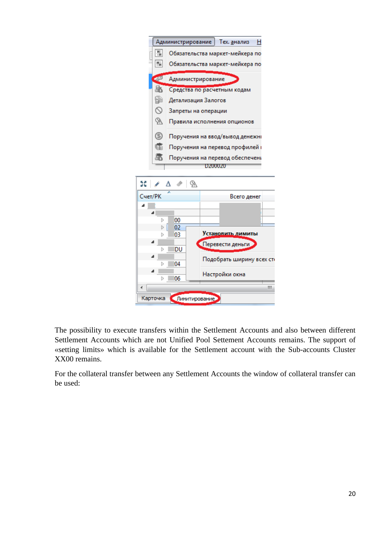

The possibility to execute transfers within the Settlement Accounts and also between different Settlement Accounts which are not Unified Pool Settement Accounts remains. The support of «setting limits» which is available for the Settlement account with the Sub-accounts Cluster XX00 remains.

For the collateral transfer between any Settlement Accounts the window of collateral transfer can be used: